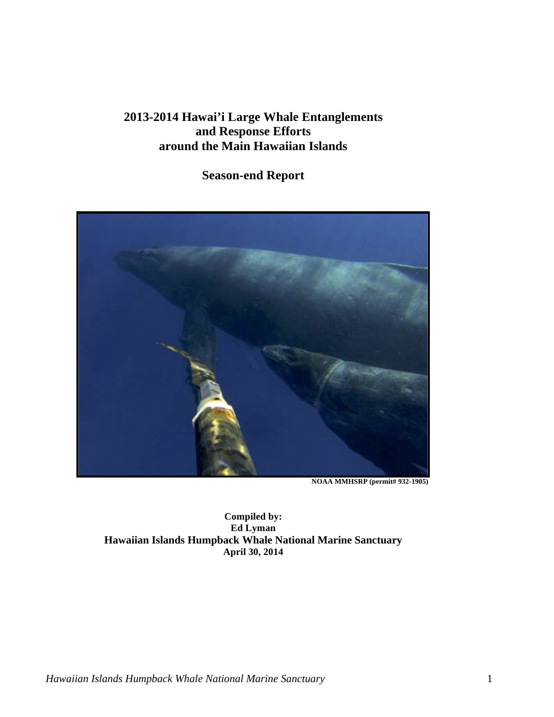# **2013-2014 Hawai'i Large Whale Entanglements and Response Efforts around the Main Hawaiian Islands**

# **Season-end Report**



**NOAA MMHSRP (permit# 932-1905)** 

Ed Lyman **Compiled by: Hawaiian Islands Humpback Whale National Marine Sanctuary April 30, 2014**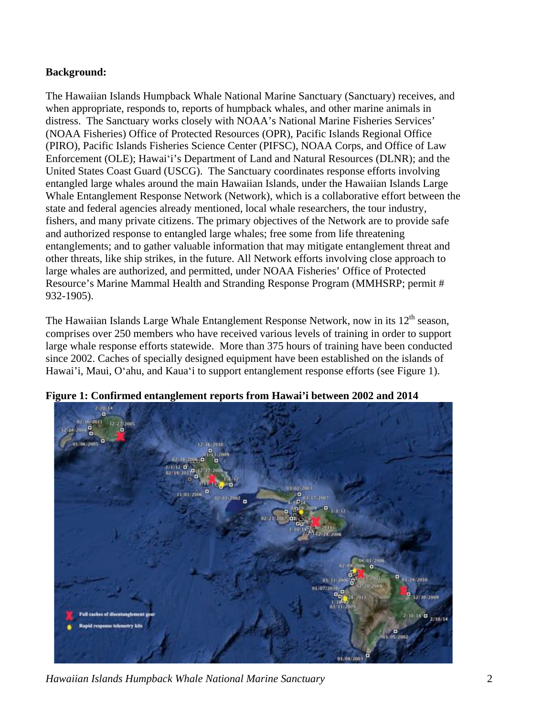## **Background:**

 entanglements; and to gather valuable information that may mitigate entanglement threat and The Hawaiian Islands Humpback Whale National Marine Sanctuary (Sanctuary) receives, and when appropriate, responds to, reports of humpback whales, and other marine animals in distress. The Sanctuary works closely with NOAA's National Marine Fisheries Services' (NOAA Fisheries) Office of Protected Resources (OPR), Pacific Islands Regional Office (PIRO), Pacific Islands Fisheries Science Center (PIFSC), NOAA Corps, and Office of Law Enforcement (OLE); Hawaiʻi's Department of Land and Natural Resources (DLNR); and the United States Coast Guard (USCG). The Sanctuary coordinates response efforts involving entangled large whales around the main Hawaiian Islands, under the Hawaiian Islands Large Whale Entanglement Response Network (Network), which is a collaborative effort between the state and federal agencies already mentioned, local whale researchers, the tour industry, fishers, and many private citizens. The primary objectives of the Network are to provide safe and authorized response to entangled large whales; free some from life threatening other threats, like ship strikes, in the future. All Network efforts involving close approach to large whales are authorized, and permitted, under NOAA Fisheries' Office of Protected Resource's Marine Mammal Health and Stranding Response Program (MMHSRP; permit # 932-1905).

The Hawaiian Islands Large Whale Entanglement Response Network, now in its  $12<sup>th</sup>$  season, comprises over 250 members who have received various levels of training in order to support large whale response efforts statewide. More than 375 hours of training have been conducted since 2002. Caches of specially designed equipment have been established on the islands of Hawai'i, Maui, Oʻahu, and Kauaʻi to support entanglement response efforts (see Figure 1).



**Figure 1: Confirmed entanglement reports from Hawai'i between 2002 and 2014** 

*Hawaiian Islands Humpback Whale National Marine Sanctuary* 2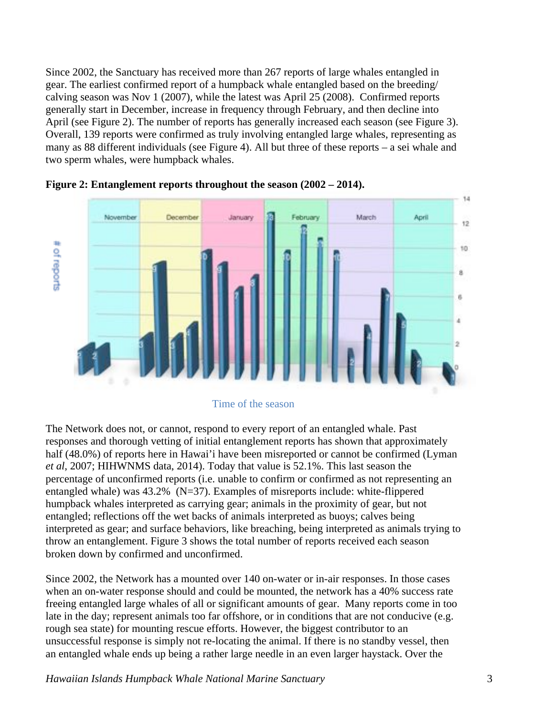Since 2002, the Sanctuary has received more than 267 reports of large whales entangled in many as 88 different individuals (see Figure 4). All but three of these reports – a sei whale and gear. The earliest confirmed report of a humpback whale entangled based on the breeding/ calving season was Nov 1 (2007), while the latest was April 25 (2008). Confirmed reports generally start in December, increase in frequency through February, and then decline into April (see Figure 2). The number of reports has generally increased each season (see Figure 3). Overall, 139 reports were confirmed as truly involving entangled large whales, representing as two sperm whales, were humpback whales.





Time of the season

 The Network does not, or cannot, respond to every report of an entangled whale. Past responses and thorough vetting of initial entanglement reports has shown that approximately half (48.0%) of reports here in Hawai'i have been misreported or cannot be confirmed (Lyman *et al*, 2007; HIHWNMS data, 2014). Today that value is 52.1%. This last season the percentage of unconfirmed reports (i.e. unable to confirm or confirmed as not representing an entangled whale) was 43.2% (N=37). Examples of misreports include: white-flippered humpback whales interpreted as carrying gear; animals in the proximity of gear, but not entangled; reflections off the wet backs of animals interpreted as buoys; calves being interpreted as gear; and surface behaviors, like breaching, being interpreted as animals trying to throw an entanglement. Figure 3 shows the total number of reports received each season broken down by confirmed and unconfirmed.

Since 2002, the Network has a mounted over 140 on-water or in-air responses. In those cases when an on-water response should and could be mounted, the network has a 40% success rate freeing entangled large whales of all or significant amounts of gear. Many reports come in too late in the day; represent animals too far offshore, or in conditions that are not conducive (e.g. rough sea state) for mounting rescue efforts. However, the biggest contributor to an unsuccessful response is simply not re-locating the animal. If there is no standby vessel, then an entangled whale ends up being a rather large needle in an even larger haystack. Over the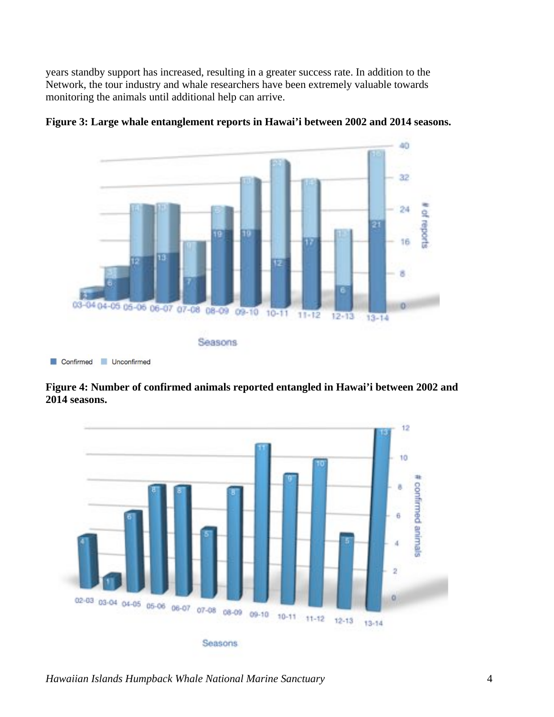years standby support has increased, resulting in a greater success rate. In addition to the Network, the tour industry and whale researchers have been extremely valuable towards monitoring the animals until additional help can arrive.





## **Figure 4: Number of confirmed animals reported entangled in Hawai'i between 2002 and 2014 seasons.**



*Hawaiian Islands Humpback Whale National Marine Sanctuary* 4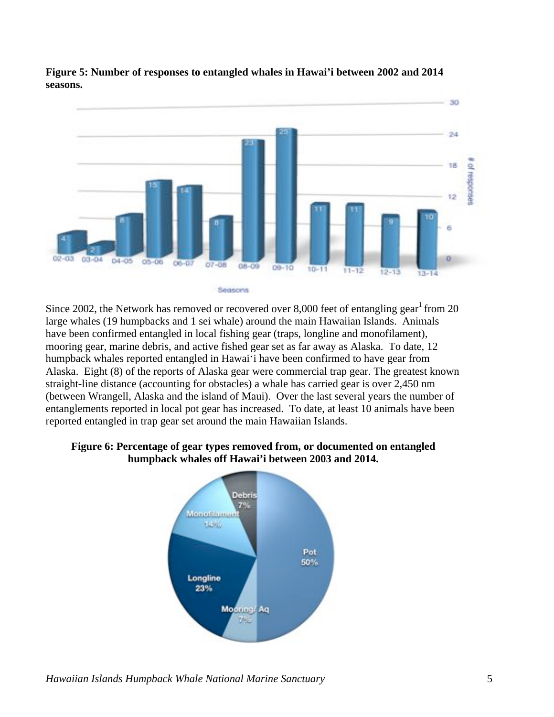

**Figure 5: Number of responses to entangled whales in Hawai'i between 2002 and 2014 seasons.** 

Since 2002, the Network has removed or recovered over 8,000 feet of entangling gear<sup>1</sup> from 20 large whales (19 humpbacks and 1 sei whale) around the main Hawaiian Islands. Animals Alaska. Eight (8) of the reports of Alaska gear were commercial trap gear. The greatest known straight-line distance (accounting for obstacles) a whale has carried gear is over 2,450 nm entanglements reported in local pot gear has increased. To date, at least 10 animals have been have been confirmed entangled in local fishing gear (traps, longline and monofilament), mooring gear, marine debris, and active fished gear set as far away as Alaska. To date, 12 humpback whales reported entangled in Hawaiʻi have been confirmed to have gear from (between Wrangell, Alaska and the island of Maui). Over the last several years the number of reported entangled in trap gear set around the main Hawaiian Islands.

### **Figure 6: Percentage of gear types removed from, or documented on entangled humpback whales off Hawai'i between 2003 and 2014.**



*Hawaiian Islands Humpback Whale National Marine Sanctuary* 5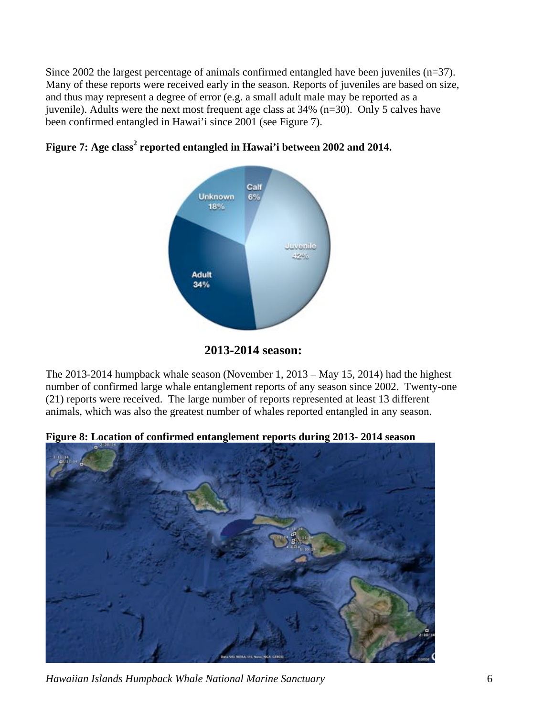Since 2002 the largest percentage of animals confirmed entangled have been juveniles (n=37). Many of these reports were received early in the season. Reports of juveniles are based on size, and thus may represent a degree of error (e.g. a small adult male may be reported as a juvenile). Adults were the next most frequent age class at 34% (n=30). Only 5 calves have been confirmed entangled in Hawai'i since 2001 (see Figure 7).





 (21) reports were received. The large number of reports represented at least 13 different The 2013-2014 humpback whale season (November 1, 2013 – May 15, 2014) had the highest number of confirmed large whale entanglement reports of any season since 2002. Twenty-one animals, which was also the greatest number of whales reported entangled in any season.



**Figure 8: Location of confirmed entanglement reports during 2013- 2014 season** 

*Hawaiian Islands Humpback Whale National Marine Sanctuary* 6

**<sup>2013-2014</sup> season:**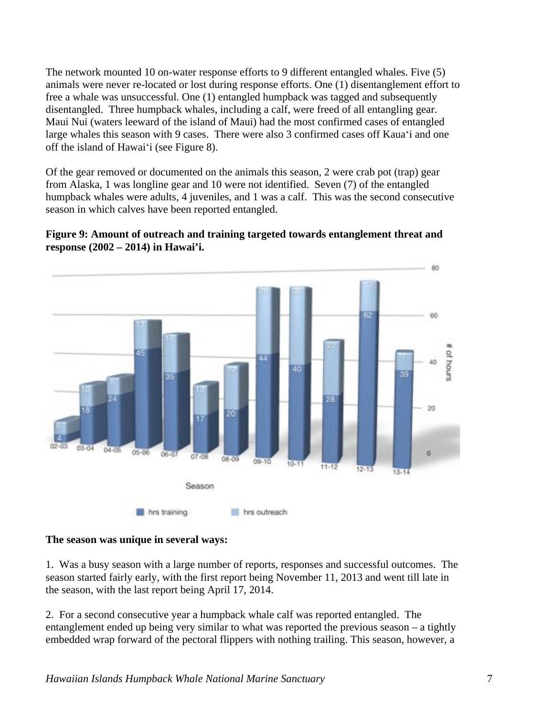The network mounted 10 on-water response efforts to 9 different entangled whales. Five (5) animals were never re-located or lost during response efforts. One (1) disentanglement effort to free a whale was unsuccessful. One (1) entangled humpback was tagged and subsequently disentangled. Three humpback whales, including a calf, were freed of all entangling gear. Maui Nui (waters leeward of the island of Maui) had the most confirmed cases of entangled large whales this season with 9 cases. There were also 3 confirmed cases off Kauaʻi and one off the island of Hawaiʻi (see Figure 8).

Of the gear removed or documented on the animals this season, 2 were crab pot (trap) gear from Alaska, 1 was longline gear and 10 were not identified. Seven (7) of the entangled humpback whales were adults, 4 juveniles, and 1 was a calf. This was the second consecutive season in which calves have been reported entangled.





## **The season was unique in several ways:**

1. Was a busy season with a large number of reports, responses and successful outcomes. The season started fairly early, with the first report being November 11, 2013 and went till late in the season, with the last report being April 17, 2014.

2. For a second consecutive year a humpback whale calf was reported entangled. The entanglement ended up being very similar to what was reported the previous season – a tightly embedded wrap forward of the pectoral flippers with nothing trailing. This season, however, a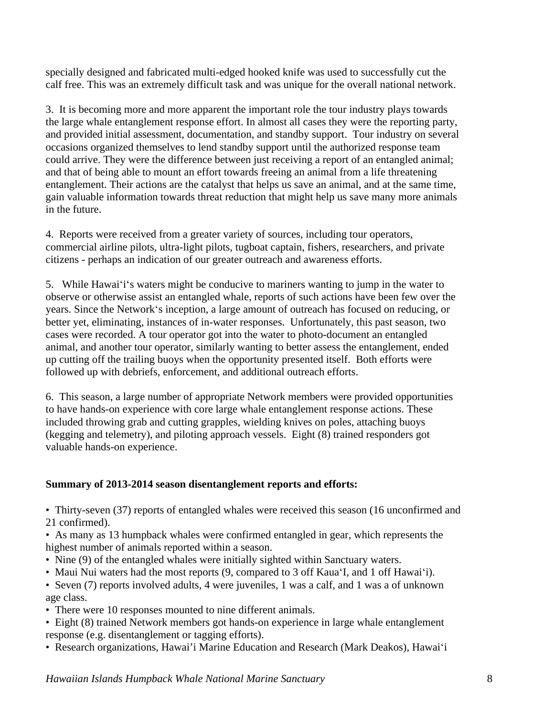specially designed and fabricated multi-edged hooked knife was used to successfully cut the calf free. This was an extremely difficult task and was unique for the overall national network.

 entanglement. Their actions are the catalyst that helps us save an animal, and at the same time, gain valuable information towards threat reduction that might help us save many more animals 3. It is becoming more and more apparent the important role the tour industry plays towards the large whale entanglement response effort. In almost all cases they were the reporting party, and provided initial assessment, documentation, and standby support. Tour industry on several occasions organized themselves to lend standby support until the authorized response team could arrive. They were the difference between just receiving a report of an entangled animal; and that of being able to mount an effort towards freeing an animal from a life threatening in the future.

 citizens - perhaps an indication of our greater outreach and awareness efforts. 4. Reports were received from a greater variety of sources, including tour operators, commercial airline pilots, ultra-light pilots, tugboat captain, fishers, researchers, and private

5. While Hawaiʻiʻs waters might be conducive to mariners wanting to jump in the water to observe or otherwise assist an entangled whale, reports of such actions have been few over the years. Since the Networkʻs inception, a large amount of outreach has focused on reducing, or better yet, eliminating, instances of in-water responses. Unfortunately, this past season, two cases were recorded. A tour operator got into the water to photo-document an entangled animal, and another tour operator, similarly wanting to better assess the entanglement, ended up cutting off the trailing buoys when the opportunity presented itself. Both efforts were followed up with debriefs, enforcement, and additional outreach efforts.

6. This season, a large number of appropriate Network members were provided opportunities to have hands-on experience with core large whale entanglement response actions. These included throwing grab and cutting grapples, wielding knives on poles, attaching buoys (kegging and telemetry), and piloting approach vessels. Eight (8) trained responders got valuable hands-on experience.

## **Summary of 2013-2014 season disentanglement reports and efforts:**

• Thirty-seven (37) reports of entangled whales were received this season (16 unconfirmed and 21 confirmed).

highest number of animals reported within a season. • As many as 13 humpback whales were confirmed entangled in gear, which represents the

- highest number of animals reported within a season.<br>• Nine (9) of the entangled whales were initially sighted within Sanctuary waters.
- Maui Nui waters had the most reports (9, compared to 3 off Kaua'I, and 1 off Hawai'i).

• Seven  $(7)$  reports involved adults, 4 were juveniles, 1 was a calf, and 1 was a of unknown age class.

• There were 10 responses mounted to nine different animals.

• Eight (8) trained Network members got hands-on experience in large whale entanglement response (e.g. disentanglement or tagging efforts).

• Research organizations, Hawai'i Marine Education and Research (Mark Deakos), Hawaiʻi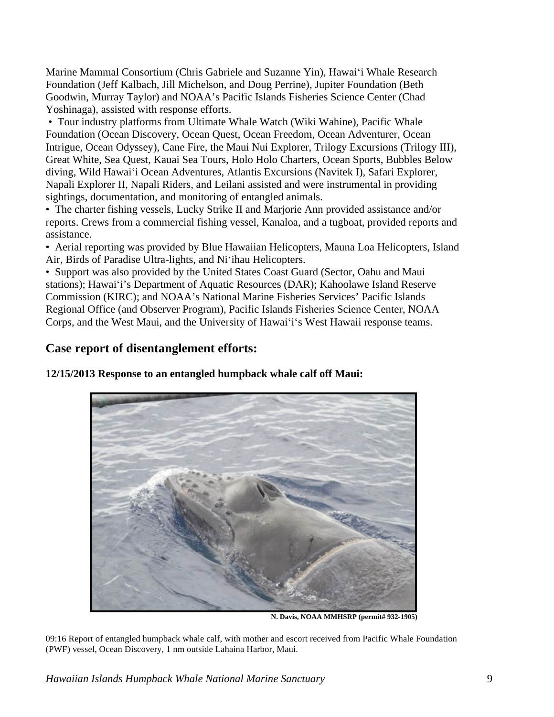Marine Mammal Consortium (Chris Gabriele and Suzanne Yin), Hawaiʻi Whale Research Foundation (Jeff Kalbach, Jill Michelson, and Doug Perrine), Jupiter Foundation (Beth Goodwin, Murray Taylor) and NOAA's Pacific Islands Fisheries Science Center (Chad Yoshinaga), assisted with response efforts.

sightings, documentation, and monitoring of entangled animals. • Tour industry platforms from Ultimate Whale Watch (Wiki Wahine), Pacific Whale Foundation (Ocean Discovery, Ocean Quest, Ocean Freedom, Ocean Adventurer, Ocean Intrigue, Ocean Odyssey), Cane Fire, the Maui Nui Explorer, Trilogy Excursions (Trilogy III), Great White, Sea Quest, Kauai Sea Tours, Holo Holo Charters, Ocean Sports, Bubbles Below diving, Wild Hawaiʻi Ocean Adventures, Atlantis Excursions (Navitek I), Safari Explorer, Napali Explorer II, Napali Riders, and Leilani assisted and were instrumental in providing

 sightings, documentation, and monitoring of entangled animals. • The charter fishing vessels, Lucky Strike II and Marjorie Ann provided assistance and/or reports. Crews from a commercial fishing vessel, Kanaloa, and a tugboat, provided reports and assistance.

• Aerial reporting was provided by Blue Hawaiian Helicopters, Mauna Loa Helicopters, Island Air, Birds of Paradise Ultra-lights, and Niʻihau Helicopters.

 stations); Hawaiʻi's Department of Aquatic Resources (DAR); Kahoolawe Island Reserve • Support was also provided by the United States Coast Guard (Sector, Oahu and Maui Commission (KIRC); and NOAA's National Marine Fisheries Services' Pacific Islands Regional Office (and Observer Program), Pacific Islands Fisheries Science Center, NOAA Corps, and the West Maui, and the University of Hawaiʻiʻs West Hawaii response teams.

## **Case report of disentanglement efforts:**

**12/15/2013 Response to an entangled humpback whale calf off Maui:** 



**N. Davis, NOAA MMHSRP (permit# 932-1905)** 

 09:16 Report of entangled humpback whale calf, with mother and escort received from Pacific Whale Foundation (PWF) vessel, Ocean Discovery, 1 nm outside Lahaina Harbor, Maui.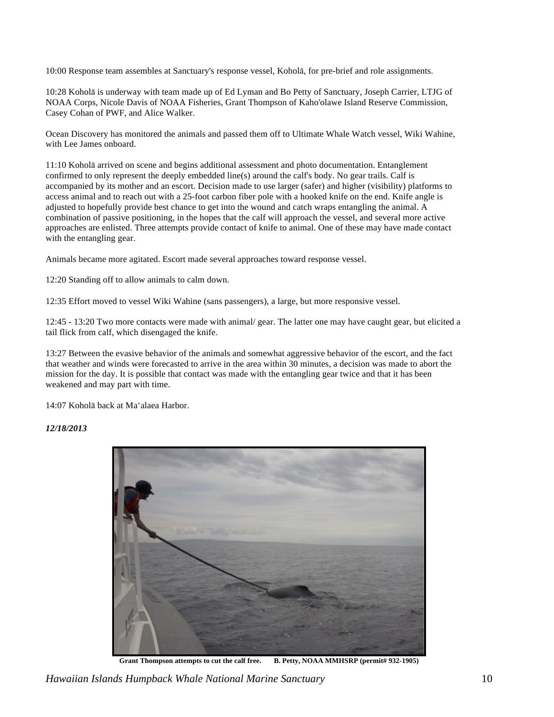10:00 Response team assembles at Sanctuary's response vessel, Koholā, for pre-brief and role assignments.

 10:28 Koholā is underway with team made up of Ed Lyman and Bo Petty of Sanctuary, Joseph Carrier, LTJG of NOAA Corps, Nicole Davis of NOAA Fisheries, Grant Thompson of Kaho'olawe Island Reserve Commission, Casey Cohan of PWF, and Alice Walker.

 Ocean Discovery has monitored the animals and passed them off to Ultimate Whale Watch vessel, Wiki Wahine, with Lee James onboard.

 confirmed to only represent the deeply embedded line(s) around the calf's body. No gear trails. Calf is accompanied by its mother and an escort. Decision made to use larger (safer) and higher (visibility) platforms to access animal and to reach out with a 25-foot carbon fiber pole with a hooked knife on the end. Knife angle is adjusted to hopefully provide best chance to get into the wound and catch wraps entangling the animal. A combination of passive positioning, in the hopes that the calf will approach the vessel, and several more active approaches are enlisted. Three attempts provide contact of knife to animal. One of these may have made contact with the entangling gear. 11:10 Koholā arrived on scene and begins additional assessment and photo documentation. Entanglement

Animals became more agitated. Escort made several approaches toward response vessel.

12:20 Standing off to allow animals to calm down.

12:35 Effort moved to vessel Wiki Wahine (sans passengers), a large, but more responsive vessel.

 12:45 - 13:20 Two more contacts were made with animal/ gear. The latter one may have caught gear, but elicited a tail flick from calf, which disengaged the knife.

 13:27 Between the evasive behavior of the animals and somewhat aggressive behavior of the escort, and the fact mission for the day. It is possible that contact was made with the entangling gear twice and that it has been weakened and may part with time. that weather and winds were forecasted to arrive in the area within 30 minutes, a decision was made to abort the

14:07 Koholā back at Maʻalaea Harbor.

#### *12/18/2013*



**Grant Thompson attempts to cut the calf free. B. Petty, NOAA MMHSRP (permit# 932-1905)**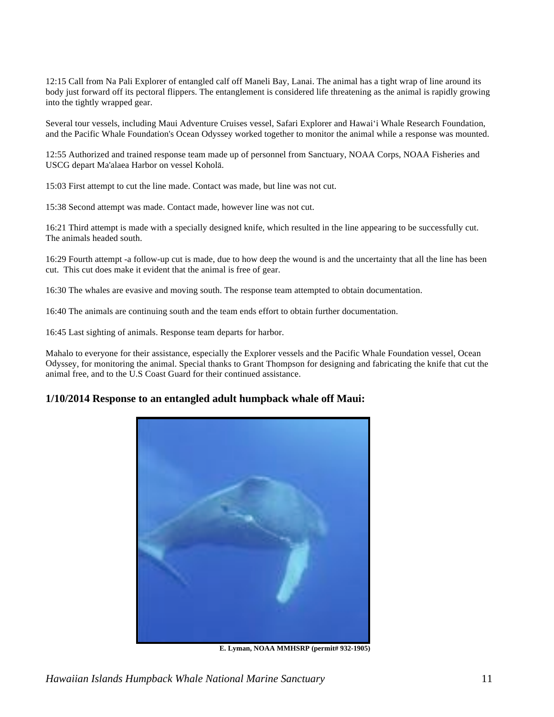12:15 Call from Na Pali Explorer of entangled calf off Maneli Bay, Lanai. The animal has a tight wrap of line around its body just forward off its pectoral flippers. The entanglement is considered life threatening as the animal is rapidly growing into the tightly wrapped gear.

 Several tour vessels, including Maui Adventure Cruises vessel, Safari Explorer and Hawaiʻi Whale Research Foundation, and the Pacific Whale Foundation's Ocean Odyssey worked together to monitor the animal while a response was mounted.

 12:55 Authorized and trained response team made up of personnel from Sanctuary, NOAA Corps, NOAA Fisheries and USCG depart Ma'alaea Harbor on vessel Koholā.

15:03 First attempt to cut the line made. Contact was made, but line was not cut.

15:38 Second attempt was made. Contact made, however line was not cut.

 16:21 Third attempt is made with a specially designed knife, which resulted in the line appearing to be successfully cut. The animals headed south.

 16:29 Fourth attempt -a follow-up cut is made, due to how deep the wound is and the uncertainty that all the line has been cut. This cut does make it evident that the animal is free of gear.

16:30 The whales are evasive and moving south. The response team attempted to obtain documentation.

16:40 The animals are continuing south and the team ends effort to obtain further documentation.

16:45 Last sighting of animals. Response team departs for harbor.

 Mahalo to everyone for their assistance, especially the Explorer vessels and the Pacific Whale Foundation vessel, Ocean Odyssey, for monitoring the animal. Special thanks to Grant Thompson for designing and fabricating the knife that cut the animal free, and to the U.S Coast Guard for their continued assistance.

### **1/10/2014 Response to an entangled adult humpback whale off Maui:**



**E. Lyman, NOAA MMHSRP (permit# 932-1905)**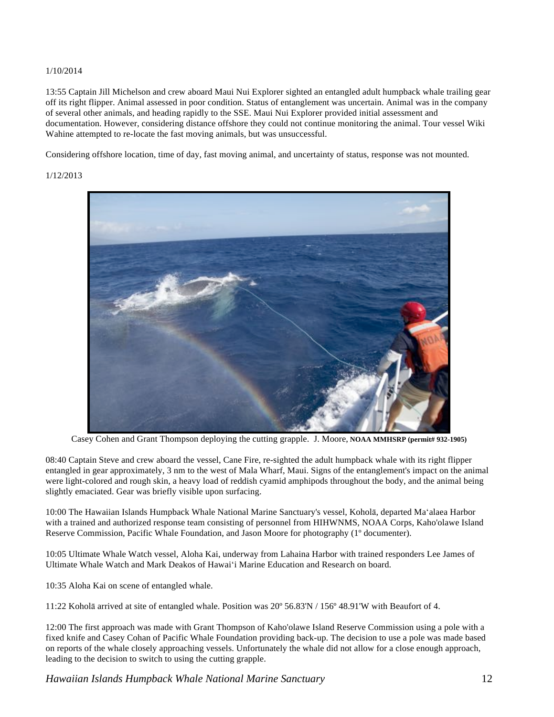#### 1/10/2014

 13:55 Captain Jill Michelson and crew aboard Maui Nui Explorer sighted an entangled adult humpback whale trailing gear off its right flipper. Animal assessed in poor condition. Status of entanglement was uncertain. Animal was in the company of several other animals, and heading rapidly to the SSE. Maui Nui Explorer provided initial assessment and documentation. However, considering distance offshore they could not continue monitoring the animal. Tour vessel Wiki Wahine attempted to re-locate the fast moving animals, but was unsuccessful.

Considering offshore location, time of day, fast moving animal, and uncertainty of status, response was not mounted.

#### 1/12/2013



Casey Cohen and Grant Thompson deploying the cutting grapple. J. Moore, **NOAA MMHSRP (permit# 932-1905)** 

 08:40 Captain Steve and crew aboard the vessel, Cane Fire, re-sighted the adult humpback whale with its right flipper entangled in gear approximately, 3 nm to the west of Mala Wharf, Maui. Signs of the entanglement's impact on the animal were light-colored and rough skin, a heavy load of reddish cyamid amphipods throughout the body, and the animal being slightly emaciated. Gear was briefly visible upon surfacing.

 10:00 The Hawaiian Islands Humpback Whale National Marine Sanctuary's vessel, Koholā, departed Maʻalaea Harbor with a trained and authorized response team consisting of personnel from HIHWNMS, NOAA Corps, Kaho'olawe Island Reserve Commission, Pacific Whale Foundation, and Jason Moore for photography (1º documenter).

 10:05 Ultimate Whale Watch vessel, Aloha Kai, underway from Lahaina Harbor with trained responders Lee James of Ultimate Whale Watch and Mark Deakos of Hawaiʻi Marine Education and Research on board.

10:35 Aloha Kai on scene of entangled whale.

11:22 Koholā arrived at site of entangled whale. Position was 20º 56.83'N / 156º 48.91'W with Beaufort of 4.

 12:00 The first approach was made with Grant Thompson of Kaho'olawe Island Reserve Commission using a pole with a fixed knife and Casey Cohan of Pacific Whale Foundation providing back-up. The decision to use a pole was made based on reports of the whale closely approaching vessels. Unfortunately the whale did not allow for a close enough approach, leading to the decision to switch to using the cutting grapple.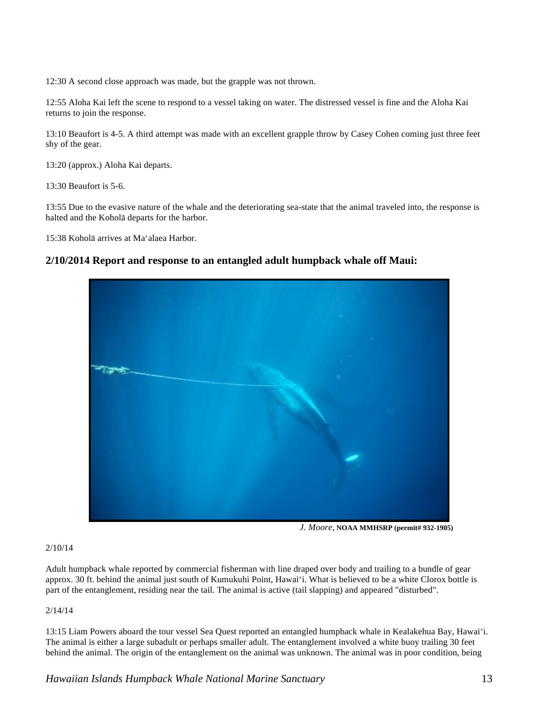12:30 A second close approach was made, but the grapple was not thrown.

 12:55 Aloha Kai left the scene to respond to a vessel taking on water. The distressed vessel is fine and the Aloha Kai returns to join the response.

 13:10 Beaufort is 4-5. A third attempt was made with an excellent grapple throw by Casey Cohen coming just three feet shy of the gear.

13:20 (approx.) Aloha Kai departs.

13:30 Beaufort is 5-6.

 13:55 Due to the evasive nature of the whale and the deteriorating sea-state that the animal traveled into, the response is halted and the Koholā departs for the harbor.

15:38 Koholā arrives at Maʻalaea Harbor.

### **2/10/2014 Report and response to an entangled adult humpback whale off Maui:**



*J. Moore,* **NOAA MMHSRP (permit# 932-1905)** 

#### 2/10/14

 Adult humpback whale reported by commercial fisherman with line draped over body and trailing to a bundle of gear approx. 30 ft. behind the animal just south of Kumukuhi Point, Hawaiʻi. What is believed to be a white Clorox bottle is part of the entanglement, residing near the tail. The animal is active (tail slapping) and appeared "disturbed".

#### 2/14/14

 13:15 Liam Powers aboard the tour vessel Sea Quest reported an entangled humpback whale in Kealakehua Bay, Hawaiʻi. The animal is either a large subadult or perhaps smaller adult. The entanglement involved a white buoy trailing 30 feet behind the animal. The origin of the entanglement on the animal was unknown. The animal was in poor condition, being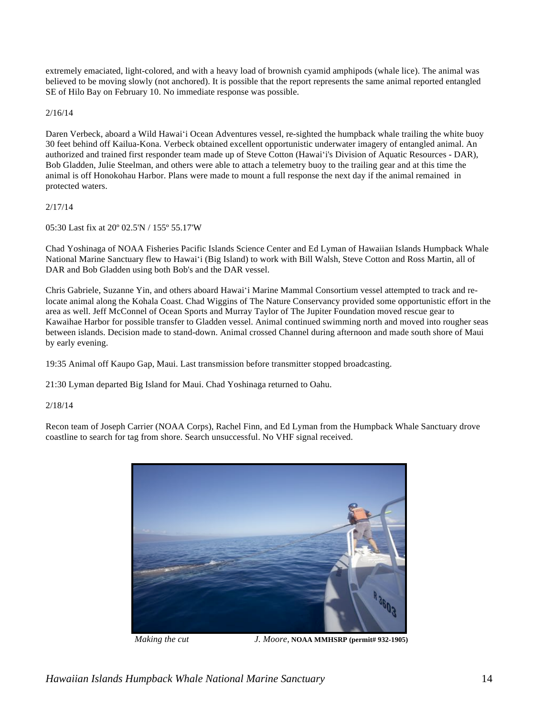extremely emaciated, light-colored, and with a heavy load of brownish cyamid amphipods (whale lice). The animal was believed to be moving slowly (not anchored). It is possible that the report represents the same animal reported entangled SE of Hilo Bay on February 10. No immediate response was possible.

2/16/14

 Daren Verbeck, aboard a Wild Hawaiʻi Ocean Adventures vessel, re-sighted the humpback whale trailing the white buoy 30 feet behind off Kailua-Kona. Verbeck obtained excellent opportunistic underwater imagery of entangled animal. An authorized and trained first responder team made up of Steve Cotton (Hawaiʻi's Division of Aquatic Resources - DAR), Bob Gladden, Julie Steelman, and others were able to attach a telemetry buoy to the trailing gear and at this time the animal is off Honokohau Harbor. Plans were made to mount a full response the next day if the animal remained in protected waters.

2/17/14

05:30 Last fix at 20º 02.5'N / 155º 55.17'W

 Chad Yoshinaga of NOAA Fisheries Pacific Islands Science Center and Ed Lyman of Hawaiian Islands Humpback Whale National Marine Sanctuary flew to Hawaiʻi (Big Island) to work with Bill Walsh, Steve Cotton and Ross Martin, all of DAR and Bob Gladden using both Bob's and the DAR vessel.

 Chris Gabriele, Suzanne Yin, and others aboard Hawaiʻi Marine Mammal Consortium vessel attempted to track and re- locate animal along the Kohala Coast. Chad Wiggins of The Nature Conservancy provided some opportunistic effort in the area as well. Jeff McConnel of Ocean Sports and Murray Taylor of The Jupiter Foundation moved rescue gear to Kawaihae Harbor for possible transfer to Gladden vessel. Animal continued swimming north and moved into rougher seas between islands. Decision made to stand-down. Animal crossed Channel during afternoon and made south shore of Maui by early evening.

19:35 Animal off Kaupo Gap, Maui. Last transmission before transmitter stopped broadcasting.

21:30 Lyman departed Big Island for Maui. Chad Yoshinaga returned to Oahu.

2/18/14

 Recon team of Joseph Carrier (NOAA Corps), Rachel Finn, and Ed Lyman from the Humpback Whale Sanctuary drove coastline to search for tag from shore. Search unsuccessful. No VHF signal received.



*Making the cut J. Moore, NOAA MMHSRP* (permit# 932-1905)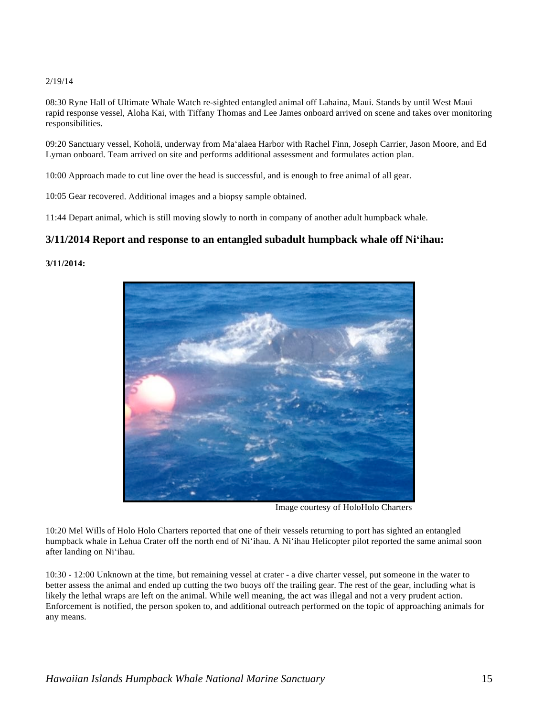#### 2/19/14

 08:30 Ryne Hall of Ultimate Whale Watch re-sighted entangled animal off Lahaina, Maui. Stands by until West Maui rapid response vessel, Aloha Kai, with Tiffany Thomas and Lee James onboard arrived on scene and takes over monitoring responsibilities.

 09:20 Sanctuary vessel, Koholā, underway from Maʻalaea Harbor with Rachel Finn, Joseph Carrier, Jason Moore, and Ed Lyman onboard. Team arrived on site and performs additional assessment and formulates action plan.

10:00 Approach made to cut line over the head is successful, and is enough to free animal of all gear.

10:05 Gear recovered. Additional images and a biopsy sample obtained.

11:44 Depart animal, which is still moving slowly to north in company of another adult humpback whale.

### **3/11/2014 Report and response to an entangled subadult humpback whale off Niʻihau:**

#### **3/11/2014:**



Image courtesy of HoloHolo Charters

 10:20 Mel Wills of Holo Holo Charters reported that one of their vessels returning to port has sighted an entangled humpback whale in Lehua Crater off the north end of Niʻihau. A Niʻihau Helicopter pilot reported the same animal soon after landing on Niʻihau.

 10:30 - 12:00 Unknown at the time, but remaining vessel at crater - a dive charter vessel, put someone in the water to better assess the animal and ended up cutting the two buoys off the trailing gear. The rest of the gear, including what is Enforcement is notified, the person spoken to, and additional outreach performed on the topic of approaching animals for any means. likely the lethal wraps are left on the animal. While well meaning, the act was illegal and not a very prudent action.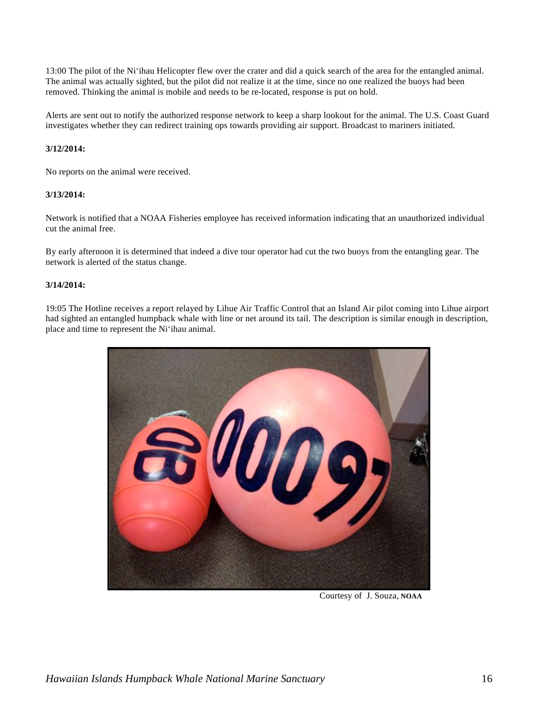13:00 The pilot of the Niʻihau Helicopter flew over the crater and did a quick search of the area for the entangled animal. The animal was actually sighted, but the pilot did not realize it at the time, since no one realized the buoys had been removed. Thinking the animal is mobile and needs to be re-located, response is put on hold.

 Alerts are sent out to notify the authorized response network to keep a sharp lookout for the animal. The U.S. Coast Guard investigates whether they can redirect training ops towards providing air support. Broadcast to mariners initiated.

#### **3/12/2014:**

No reports on the animal were received.

#### **3/13/2014:**

 Network is notified that a NOAA Fisheries employee has received information indicating that an unauthorized individual cut the animal free.

 By early afternoon it is determined that indeed a dive tour operator had cut the two buoys from the entangling gear. The network is alerted of the status change.

#### **3/14/2014:**

 19:05 The Hotline receives a report relayed by Lihue Air Traffic Control that an Island Air pilot coming into Lihue airport had sighted an entangled humpback whale with line or net around its tail. The description is similar enough in description, place and time to represent the Niʻihau animal.



Courtesy of J. Souza*,* **NOAA**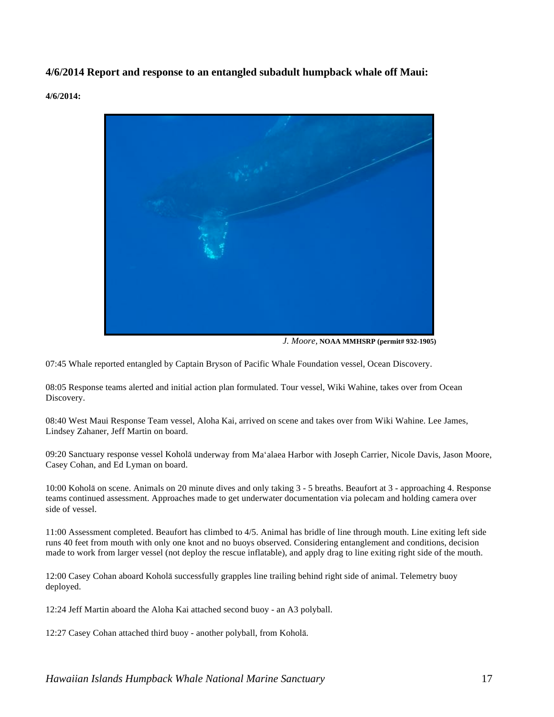**4/6/2014 Report and response to an entangled subadult humpback whale off Maui:** 

**4/6/2014:** 



*J. Moore,* **NOAA MMHSRP (permit# 932-1905)** 

07:45 Whale reported entangled by Captain Bryson of Pacific Whale Foundation vessel, Ocean Discovery.

 08:05 Response teams alerted and initial action plan formulated. Tour vessel, Wiki Wahine, takes over from Ocean Discovery.

 08:40 West Maui Response Team vessel, Aloha Kai, arrived on scene and takes over from Wiki Wahine. Lee James, Lindsey Zahaner, Jeff Martin on board.

 09:20 Sanctuary response vessel Koholā underway from Maʻalaea Harbor with Joseph Carrier, Nicole Davis, Jason Moore, Casey Cohan, and Ed Lyman on board.

 10:00 Koholā on scene. Animals on 20 minute dives and only taking 3 - 5 breaths. Beaufort at 3 - approaching 4. Response teams continued assessment. Approaches made to get underwater documentation via polecam and holding camera over side of vessel.

 11:00 Assessment completed. Beaufort has climbed to 4/5. Animal has bridle of line through mouth. Line exiting left side runs 40 feet from mouth with only one knot and no buoys observed. Considering entanglement and conditions, decision made to work from larger vessel (not deploy the rescue inflatable), and apply drag to line exiting right side of the mouth.

12:00 Casey Cohan aboard Koholā successfully grapples line trailing behind right side of animal. Telemetry buoy deployed.

12:24 Jeff Martin aboard the Aloha Kai attached second buoy - an A3 polyball.

12:27 Casey Cohan attached third buoy - another polyball, from Koholā.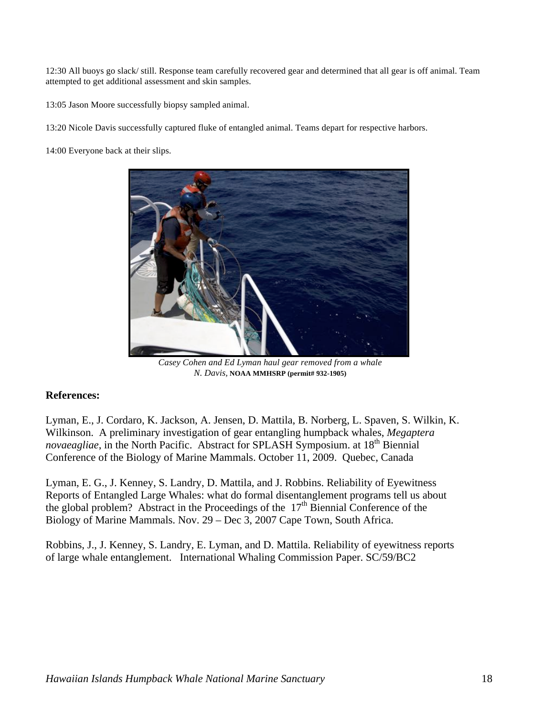12:30 All buoys go slack/ still. Response team carefully recovered gear and determined that all gear is off animal. Team attempted to get additional assessment and skin samples.

13:05 Jason Moore successfully biopsy sampled animal.

13:20 Nicole Davis successfully captured fluke of entangled animal. Teams depart for respective harbors.

14:00 Everyone back at their slips.



 *Casey Cohen and Ed Lyman haul gear removed from a whale*  *N. Davis,* **NOAA MMHSRP (permit# 932-1905)** 

### **References:**

*novaeagliae*, in the North Pacific. Abstract for SPLASH Symposium. at 18<sup>th</sup> Biennial Lyman, E., J. Cordaro, K. Jackson, A. Jensen, D. Mattila, B. Norberg, L. Spaven, S. Wilkin, K. Wilkinson. A preliminary investigation of gear entangling humpback whales, *Megaptera*  Conference of the Biology of Marine Mammals. October 11, 2009. Quebec, Canada

Lyman, E. G., J. Kenney, S. Landry, D. Mattila, and J. Robbins. Reliability of Eyewitness Reports of Entangled Large Whales: what do formal disentanglement programs tell us about the global problem? Abstract in the Proceedings of the  $17<sup>th</sup>$  Biennial Conference of the Biology of Marine Mammals. Nov. 29 – Dec 3, 2007 Cape Town, South Africa.

Robbins, J., J. Kenney, S. Landry, E. Lyman, and D. Mattila. Reliability of eyewitness reports of large whale entanglement. International Whaling Commission Paper. SC/59/BC2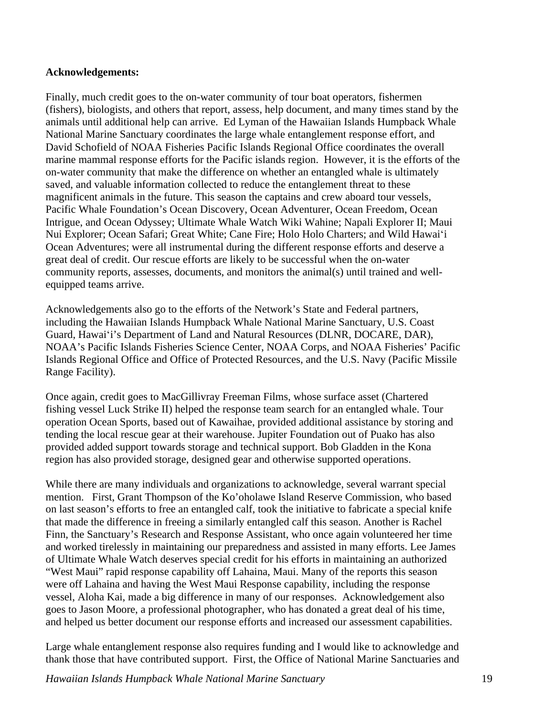### **Acknowledgements:**

Finally, much credit goes to the on-water community of tour boat operators, fishermen (fishers), biologists, and others that report, assess, help document, and many times stand by the animals until additional help can arrive. Ed Lyman of the Hawaiian Islands Humpback Whale National Marine Sanctuary coordinates the large whale entanglement response effort, and David Schofield of NOAA Fisheries Pacific Islands Regional Office coordinates the overall marine mammal response efforts for the Pacific islands region. However, it is the efforts of the on-water community that make the difference on whether an entangled whale is ultimately saved, and valuable information collected to reduce the entanglement threat to these magnificent animals in the future. This season the captains and crew aboard tour vessels, Pacific Whale Foundation's Ocean Discovery, Ocean Adventurer, Ocean Freedom, Ocean Intrigue, and Ocean Odyssey; Ultimate Whale Watch Wiki Wahine; Napali Explorer II; Maui Nui Explorer; Ocean Safari; Great White; Cane Fire; Holo Holo Charters; and Wild Hawaiʻi Ocean Adventures; were all instrumental during the different response efforts and deserve a great deal of credit. Our rescue efforts are likely to be successful when the on-water community reports, assesses, documents, and monitors the animal(s) until trained and wellequipped teams arrive.

Acknowledgements also go to the efforts of the Network's State and Federal partners, including the Hawaiian Islands Humpback Whale National Marine Sanctuary, U.S. Coast Guard, Hawaiʻi's Department of Land and Natural Resources (DLNR, DOCARE, DAR), NOAA's Pacific Islands Fisheries Science Center, NOAA Corps, and NOAA Fisheries' Pacific Islands Regional Office and Office of Protected Resources, and the U.S. Navy (Pacific Missile Range Facility).

Once again, credit goes to MacGillivray Freeman Films, whose surface asset (Chartered fishing vessel Luck Strike II) helped the response team search for an entangled whale. Tour operation Ocean Sports, based out of Kawaihae, provided additional assistance by storing and tending the local rescue gear at their warehouse. Jupiter Foundation out of Puako has also provided added support towards storage and technical support. Bob Gladden in the Kona region has also provided storage, designed gear and otherwise supported operations.

 that made the difference in freeing a similarly entangled calf this season. Another is Rachel goes to Jason Moore, a professional photographer, who has donated a great deal of his time, While there are many individuals and organizations to acknowledge, several warrant special mention. First, Grant Thompson of the Ko'oholawe Island Reserve Commission, who based on last season's efforts to free an entangled calf, took the initiative to fabricate a special knife Finn, the Sanctuary's Research and Response Assistant, who once again volunteered her time and worked tirelessly in maintaining our preparedness and assisted in many efforts. Lee James of Ultimate Whale Watch deserves special credit for his efforts in maintaining an authorized "West Maui" rapid response capability off Lahaina, Maui. Many of the reports this season were off Lahaina and having the West Maui Response capability, including the response vessel, Aloha Kai, made a big difference in many of our responses. Acknowledgement also and helped us better document our response efforts and increased our assessment capabilities.

Large whale entanglement response also requires funding and I would like to acknowledge and thank those that have contributed support. First, the Office of National Marine Sanctuaries and